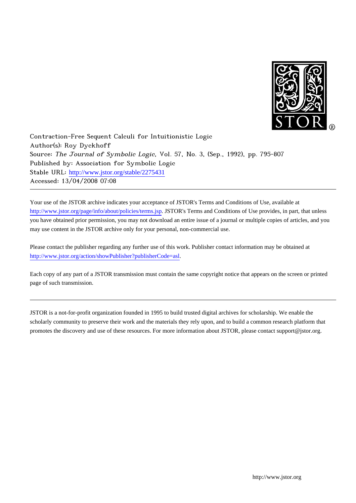

Contraction-Free Sequent Calculi for Intuitionistic Logic Author(s): Roy Dyckhoff Source: The Journal of Symbolic Logic, Vol. 57, No. 3, (Sep., 1992), pp. 795-807 Published by: Association for Symbolic Logic Stable URL: [http://www.jstor.org/stable/2275431](http://www.jstor.org/stable/2275431?origin=JSTOR-pdf) Accessed: 13/04/2008 07:08

Your use of the JSTOR archive indicates your acceptance of JSTOR's Terms and Conditions of Use, available at <http://www.jstor.org/page/info/about/policies/terms.jsp>. JSTOR's Terms and Conditions of Use provides, in part, that unless you have obtained prior permission, you may not download an entire issue of a journal or multiple copies of articles, and you may use content in the JSTOR archive only for your personal, non-commercial use.

Please contact the publisher regarding any further use of this work. Publisher contact information may be obtained at <http://www.jstor.org/action/showPublisher?publisherCode=asl>.

Each copy of any part of a JSTOR transmission must contain the same copyright notice that appears on the screen or printed page of such transmission.

JSTOR is a not-for-profit organization founded in 1995 to build trusted digital archives for scholarship. We enable the scholarly community to preserve their work and the materials they rely upon, and to build a common research platform that promotes the discovery and use of these resources. For more information about JSTOR, please contact support@jstor.org.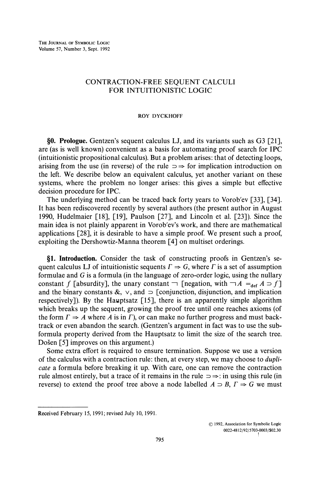# CONTRACTION-FREE SEQUENT CALCULI FOR INTUITIONISTIC LOGIC

### **ROY DYCKHOFF**

§0. Prologue. Gentzen's sequent calculus LJ, and its variants such as G3 [21], are (as is well known) convenient as a basis for automating proof search for IPC (intuitionistic propositional calculus). But a problem arises: that of detecting loops, arising from the use (in reverse) of the rule  $\Rightarrow$  for implication introduction on the left. We describe below an equivalent calculus, yet another variant on these systems, where the problem no longer arises: this gives a simple but effective decision procedure for IPC.

The underlying method can be traced back forty years to Vorob'ev [33], [34]. It has been rediscovered recently by several authors (the present author in August 1990, Hudelmaier [18], [19], Paulson [27], and Lincoln et al. [23]). Since the main idea is not plainly apparent in Vorob'ev's work, and there are mathematical applications [28], it is desirable to have a simple proof. We present such a proof, exploiting the Dershowtiz-Manna theorem [4] on multiset orderings.

§1. Introduction. Consider the task of constructing proofs in Gentzen's sequent calculus LJ of intuitionistic sequents  $\Gamma \Rightarrow G$ , where  $\Gamma$  is a set of assumption formulae and  $G$  is a formula (in the language of zero-order logic, using the nullary constant f [absurdity], the unary constant  $\neg$  [negation, with  $\neg A =_{def} A \supset f$ ] and the binary constants  $\&$ ,  $\vee$ , and  $\supset$  [conjunction, disjunction, and implication respectively]). By the Hauptsatz [15], there is an apparently simple algorithm which breaks up the sequent, growing the proof tree until one reaches axioms (of the form  $\Gamma \Rightarrow A$  where A is in  $\Gamma$ ), or can make no further progress and must backtrack or even abandon the search. (Gentzen's argument in fact was to use the subformula property derived from the Hauptsatz to limit the size of the search tree. Došen [5] improves on this argument.)

Some extra effort is required to ensure termination. Suppose we use a version of the calculus with a contraction rule: then, at every step, we may choose to *dupli*cate a formula before breaking it up. With care, one can remove the contraction rule almost entirely, but a trace of it remains in the rule  $\Rightarrow \Rightarrow$ : in using this rule (in reverse) to extend the proof tree above a node labelled  $A \supset B$ ,  $\Gamma \Rightarrow G$  we must

© 1992, Association for Symbolic Logic 0022-4812/92/5703-0003/\$02.30

Received February 15, 1991; revised July 10, 1991.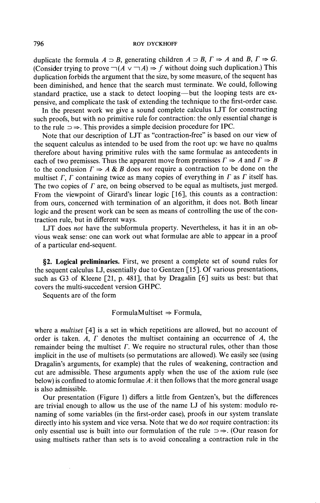#### **ROY DYCKHOFF**

duplicate the formula  $A \supset B$ , generating children  $A \supset B$ ,  $\Gamma \Rightarrow A$  and B,  $\Gamma \Rightarrow G$ . (Consider trying to prove  $\neg$  ( $A \lor \neg A$ )  $\Rightarrow$  f without doing such duplication.) This duplication forbids the argument that the size, by some measure, of the sequent has been diminished, and hence that the search must terminate. We could, following standard practice, use a stack to detect looping—but the looping tests are expensive, and complicate the task of extending the technique to the first-order case.

In the present work we give a sound complete calculus LJT for constructing such proofs, but with no primitive rule for contraction: the only essential change is to the rule  $\Rightarrow$ . This provides a simple decision procedure for IPC.

Note that our description of LJT as "contraction-free" is based on our view of the sequent calculus as intended to be used from the root up: we have no qualms therefore about having primitive rules with the same formulae as antecedents in each of two premisses. Thus the apparent move from premisses  $\Gamma \Rightarrow A$  and  $\Gamma \Rightarrow B$ to the conclusion  $\Gamma \Rightarrow A \& B$  does *not* require a contraction to be done on the multiset  $\Gamma$ ,  $\Gamma$  containing twice as many copies of everything in  $\Gamma$  as  $\Gamma$  itself has. The two copies of  $\Gamma$  are, on being observed to be equal as multisets, just merged. From the viewpoint of Girard's linear logic [16], this counts as a contraction: from ours, concerned with termination of an algorithm, it does not. Both linear logic and the present work can be seen as means of controlling the use of the contraction rule, but in different ways.

LJT does not have the subformula property. Nevertheless, it has it in an obvious weak sense: one can work out what formulae are able to appear in a proof of a particular end-sequent.

82. Logical preliminaries. First, we present a complete set of sound rules for the sequent calculus LJ, essentially due to Gentzen [15]. Of various presentations, such as G3 of Kleene [21, p. 481], that by Dragalin [6] suits us best: but that covers the multi-succedent version GHPC.

Sequents are of the form

## FormulaMultiset  $\Rightarrow$  Formula,

where a *multiset* [4] is a set in which repetitions are allowed, but no account of order is taken. A,  $\Gamma$  denotes the multiset containing an occurrence of  $\Lambda$ , the remainder being the multiset  $\Gamma$ . We require no structural rules, other than those implicit in the use of multisets (so permutations are allowed). We easily see (using Dragalin's arguments, for example) that the rules of weakening, contraction and cut are admissible. These arguments apply when the use of the axiom rule (see below) is confined to atomic formulae A: it then follows that the more general usage is also admissible.

Our presentation (Figure 1) differs a little from Gentzen's, but the differences are trivial enough to allow us the use of the name LJ of his system: modulo renaming of some variables (in the first-order case), proofs in our system translate directly into his system and vice versa. Note that we do *not* require contraction: its only essential use is built into our formulation of the rule  $\Rightarrow$ . (Our reason for using multisets rather than sets is to avoid concealing a contraction rule in the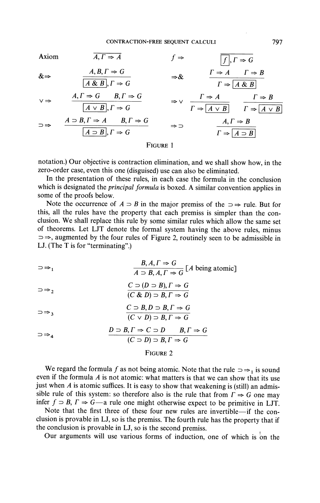Axiom  
\n
$$
A, \Gamma \Rightarrow A
$$
  
\n $f \Rightarrow \boxed{f}, \Gamma \Rightarrow G$   
\n $\&\Rightarrow \frac{A, B, \Gamma \Rightarrow G}{[A \& B], \Gamma \Rightarrow G}$   
\n $\forall \Rightarrow \frac{A, \Gamma \Rightarrow G}{[A \lor B], \Gamma \Rightarrow G}$   
\n $\Rightarrow \forall \frac{P \Rightarrow A \quad P \Rightarrow B}{[A \lor B]} \quad \Rightarrow \forall \frac{P \Rightarrow A \quad P \Rightarrow B}{[A \lor B]} \quad \frac{P \Rightarrow B}{[A \lor B]}$   
\n $\Rightarrow \Rightarrow \frac{A \Rightarrow B, \Gamma \Rightarrow A \quad B, \Gamma \Rightarrow G}{[A \Rightarrow B], \Gamma \Rightarrow G}$   
\n $\Rightarrow \Rightarrow \frac{A, \Gamma \Rightarrow B}{[A \Rightarrow B]} \quad \Rightarrow \Rightarrow \frac{A, \Gamma \Rightarrow B}{[A \Rightarrow B]}$   
\nEVALUATE:

Figure 1

notation.) Our objective is contraction elimination, and we shall show how, in the zero-order case, even this one (disguised) use can also be eliminated.

In the presentation of these rules, in each case the formula in the conclusion which is designated the *principal formula* is boxed. A similar convention applies in some of the proofs below.

Note the occurrence of  $A \supset B$  in the major premiss of the  $\supset \Rightarrow$  rule. But for this, all the rules have the property that each premiss is simpler than the conclusion. We shall replace this rule by some similar rules which allow the same set of theorems. Let LJT denote the formal system having the above rules, minus  $\Rightarrow$ , augmented by the four rules of Figure 2, routinely seen to be admissible in LJ. (The T is for "terminating".)

$$
\Rightarrow_{1} \qquad \qquad \frac{B, A, \Gamma \Rightarrow G}{A \supset B, A, \Gamma \Rightarrow G} [A \text{ being atomic}]
$$

$$
\Rightarrow_{2} C \Rightarrow (D \Rightarrow B), \Gamma \Rightarrow G
$$
  

$$
(C \& D) \Rightarrow B, \Gamma \Rightarrow G
$$

$$
\Rightarrow_{3} \qquad \qquad \frac{C \supset B, D \supset B, \Gamma \Rightarrow G}{(C \vee D) \supset B, \Gamma \Rightarrow G}
$$

$$
\supset \Rightarrow_4 \qquad \qquad \frac{D \supset B, \Gamma \Rightarrow C \supset D \qquad B, \Gamma \Rightarrow G}{(C \supset D) \supset B, \Gamma \Rightarrow G}
$$

## FIGURE 2

We regard the formula f as not being atomic. Note that the rule  $\Rightarrow \Rightarrow_1$  is sound even if the formula  $A$  is not atomic: what matters is that we can show that its use just when  $A$  is atomic suffices. It is easy to show that weakening is (still) an admissible rule of this system: so therefore also is the rule that from  $\Gamma \Rightarrow G$  one may infer  $f \supset B$ ,  $\Gamma \Rightarrow G$ —a rule one might otherwise expect to be primitive in LJT.

Note that the first three of these four new rules are invertible-if the conclusion is provable in LJ, so is the premiss. The fourth rule has the property that if the conclusion is provable in LJ, so is the second premiss.

Our arguments will use various forms of induction, one of which is on the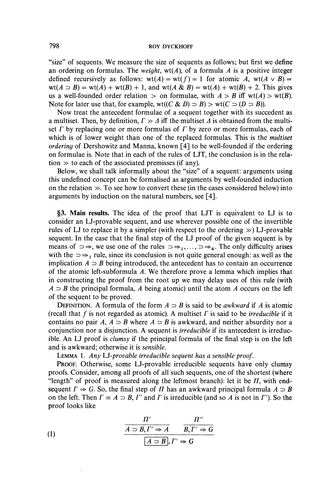"size" of sequents. We measure the size of sequents as follows; but first we define an ordering on formulas. The *weight*,  $wt(A)$ , of a formula A is a positive integer defined recursively as follows:  $wt(A) = wt(f) = 1$  for atomic A,  $wt(A \vee B) =$  $wt(A \supset B) = wt(A) + wt(B) + 1$ , and  $wt(A \& B) = wt(A) + wt(B) + 2$ . This gives us a well-founded order relation  $>$  on formulae, with  $A > B$  iff wt(A)  $>$  wt(B). Note for later use that, for example, wt( $(C & D) \supset B$ ) > wt( $C \supset (D \supset B)$ ).

Now treat the antecedent formulae of a sequent together with its succedent as a multiset. Then, by definition,  $\Gamma \gg \Delta$  iff the multiset  $\Delta$  is obtained from the multiset  $\Gamma$  by replacing one or more formulas of  $\Gamma$  by zero or more formulas, each of which is of lower weight than one of the replaced formulas. This is the multiset *ordering* of Dershowitz and Manna, known [4] to be well-founded if the ordering on formulae is. Note that in each of the rules of LJT, the conclusion is in the relation  $\gg$  to each of the associated premisses (if any).

Below, we shall talk informally about the "size" of a sequent: arguments using this undefined concept can be formalised as arguments by well-founded induction on the relation  $\gg$ . To see how to convert these (in the cases considered below) into arguments by induction on the natural numbers, see [4].

§3. Main results. The idea of the proof that LJT is equivalent to LJ is to consider an LJ-provable sequent, and use wherever possible one of the invertible rules of LJ to replace it by a simpler (with respect to the ordering  $\gg$ ) LJ-provable sequent. In the case that the final step of the LJ proof of the given sequent is by means of  $\Rightarrow$ , we use one of the rules  $\Rightarrow$ <sub>1</sub>,...,  $\Rightarrow$   $\Rightarrow$ <sub>4</sub>. The only difficulty arises with the  $\Rightarrow$   $\rightarrow$  rule, since its conclusion is not quite general enough: as well as the implication  $A \supset B$  being introduced, the antecedent has to contain an occurrence of the atomic left-subformula A. We therefore prove a lemma which implies that in constructing the proof from the root up we may delay uses of this rule (with  $A \supset B$  the principal formula, A being atomic) until the atom A occurs on the left of the sequent to be proved.

DEFINITION. A formula of the form  $A \supset B$  is said to be *awkward* if A is atomic (recall that f is not regarded as atomic). A multiset  $\Gamma$  is said to be *irreducible* if it contains no pair A,  $A \supset B$  where  $A \supset B$  is awkward, and neither absurdity nor a conjunction nor a disjunction. A sequent is *irreducible* if its antecedent is irreducible. An LJ proof is *clumsy* if the principal formula of the final step is on the left and is awkward; otherwise it is sensible.

LEMMA 1. Any LJ-provable irreducible sequent has a sensible proof.

PROOF. Otherwise, some LJ-provable irreducible sequents have only clumsy proofs. Consider, among all proofs of all such sequents, one of the shortest (where "length" of proof is measured along the leftmost branch): let it be  $\Pi$ , with endsequent  $\Gamma \Rightarrow G$ . So, the final step of  $\Pi$  has an awkward principal formula  $A \supset B$ on the left. Then  $\Gamma \equiv A \supset B$ ,  $\Gamma'$  and  $\Gamma$  is irreducible (and so A is not in  $\Gamma'$ ). So the proof looks like

(1)  
\n
$$
\frac{\Pi'}{A \supset B, \Gamma' \Rightarrow A} \qquad \frac{\Pi''}{B, \Gamma' \Rightarrow G}
$$
\n
$$
\boxed{A \supset B}, \Gamma' \Rightarrow G
$$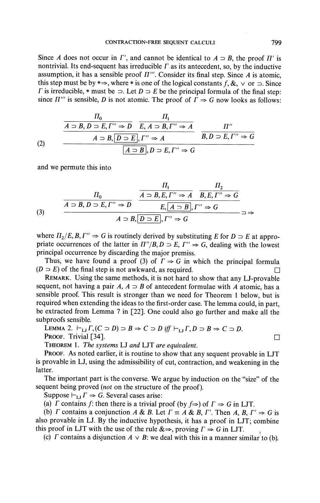Since A does not occur in  $\Gamma'$ , and cannot be identical to  $A \supset B$ , the proof  $\Pi'$  is nontrivial. Its end-sequent has irreducible  $\Gamma$  as its antecedent, so, by the inductive assumption, it has a sensible proof  $\Pi'''$ . Consider its final step. Since A is atomic, this step must be by  $*\Rightarrow$ , where  $*$  is one of the logical constants f, &,  $\vee$  or  $\supset$ . Since  $\Gamma$  is irreducible, \* must be  $\supset$ . Let  $D \supset E$  be the principal formula of the final step: since  $\Pi'''$  is sensible, D is not atomic. The proof of  $\Gamma \Rightarrow G$  now looks as follows:

(2)  

$$
\frac{H_0}{A \supset B, D \supset E, \Gamma'' \Rightarrow D} \xrightarrow{H_1} \frac{\Pi_1}{E, A \supset B, \Gamma'' \Rightarrow A} \frac{\Pi''}{B, D \supset E, \Gamma'' \Rightarrow G}
$$
  

$$
\frac{A \supset B, \boxed{D \supset E}, \Gamma'' \Rightarrow A}{\boxed{A \supset B}, D \supset E, \Gamma'' \Rightarrow G}
$$

and we permute this into

(3) 
$$
\frac{\Pi_0}{A \supset B, D \supset E, \Gamma'' \Rightarrow D} \xrightarrow{\overline{A \supset B, E, \Gamma'' \Rightarrow A} \overline{B, E, \Gamma'' \Rightarrow G}}
$$

$$
\frac{\Pi_1}{B, E, \Gamma'' \Rightarrow D} \xrightarrow{\overline{A \supset B, E, \Gamma'' \Rightarrow B}} \overline{E, \overline{A \supset B}, \Gamma'' \Rightarrow G} \Rightarrow
$$

$$
A \supset B, \overline{D \supset E}, \Gamma'' \Rightarrow G \Rightarrow \overline{A \supset B} \Rightarrow \overline{A \supset B} \Rightarrow \overline{A \supset B} \Rightarrow \overline{A \supset B} \Rightarrow \overline{A \supset B} \Rightarrow \overline{A \supset B} \Rightarrow \overline{A \supset B} \Rightarrow \overline{A \supset B} \Rightarrow \overline{A \supset B} \Rightarrow \overline{A \supset B} \Rightarrow \overline{A \supset B} \Rightarrow \overline{A \supset B} \Rightarrow \overline{A \supset B} \Rightarrow \overline{A \supset B} \Rightarrow \overline{A \supset B} \Rightarrow \overline{A \supset B} \Rightarrow \overline{A \supset B} \Rightarrow \overline{A \supset B} \Rightarrow \overline{A \supset B} \Rightarrow \overline{A \supset B} \Rightarrow \overline{A \supset B} \Rightarrow \overline{A \supset B} \Rightarrow \overline{A \supset B} \Rightarrow \overline{A \supset B} \Rightarrow \overline{A \supset B} \Rightarrow \overline{A \supset B} \Rightarrow \overline{A \supset B} \Rightarrow \overline{A \supset B} \Rightarrow \overline{A \supset B} \Rightarrow \overline{A \supset B} \Rightarrow \overline{A \supset B} \Rightarrow \overline{A \supset B} \Rightarrow \overline{A \supset B} \Rightarrow \overline{A \supset B} \Rightarrow \overline{A \supset B} \Rightarrow \overline{A \supset B} \Rightarrow \overline{A \supset B} \Rightarrow \overline{A \supset B} \Rightarrow \overline{A \supset B} \Rightarrow \overline{A \supset B} \Rightarrow \overline{A \supset B} \Rightarrow \overline{A \supset B} \Rightarrow \overline{A \supset B} \Rightarrow \overline{A \supset B} \Rightarrow \overline{A \supset B} \Rightarrow \overline{A \supset B} \Rightarrow \overline{A \supset B} \Rightarrow \overline{A \supset B} \Rightarrow \overline{A \supset B} \Rightarrow \overline
$$

where  $\Pi_2/E, B, \Gamma'' \Rightarrow G$  is routinely derived by substituting E for  $D \supset E$  at appropriate occurrences of the latter in  $\Pi''/B$ ,  $D \supset E$ ,  $\Gamma'' \Rightarrow G$ , dealing with the lowest principal occurrence by discarding the major premiss.

Thus, we have found a proof (3) of  $\Gamma \Rightarrow G$  in which the principal formula  $(D \supset E)$  of the final step is not awkward, as required. П

REMARK. Using the same methods, it is not hard to show that any LJ-provable sequent, not having a pair A,  $A \supset B$  of antecedent formulae with A atomic, has a sensible proof. This result is stronger than we need for Theorem 1 below, but is required when extending the ideas to the first-order case. The lemma could, in part, be extracted from Lemma 7 in [22]. One could also go further and make all the subproofs sensible.

LEMMA 2.  $\vdash_{\mathsf{LI}} \Gamma$ ,  $(C \supset D) \supset B \Rightarrow C \supset D$  iff  $\vdash_{\mathsf{LI}} \Gamma$ ,  $D \supset B \Rightarrow C \supset D$ . PROOF. Trivial [34].

THEOREM 1. The systems LJ and LJT are equivalent.

**PROOF.** As noted earlier, it is routine to show that any sequent provable in LJT is provable in LJ, using the admissibility of cut, contraction, and weakening in the latter.

The important part is the converse. We argue by induction on the "size" of the sequent being proved (not on the structure of the proof).

Suppose  $\vdash_{\text{LI}} \Gamma \Rightarrow G$ . Several cases arise:

(a)  $\Gamma$  contains  $f$ : then there is a trivial proof (by  $f \Rightarrow$ ) of  $\Gamma \Rightarrow G$  in LJT.

(b)  $\Gamma$  contains a conjunction A & B. Let  $\Gamma = A \& B, \Gamma'$ . Then A, B,  $\Gamma' \Rightarrow G$  is also provable in LJ. By the inductive hypothesis, it has a proof in LJT; combine this proof in LJT with the use of the rule  $\& \Rightarrow$ , proving  $\Gamma \Rightarrow G$  in LJT.

(c)  $\Gamma$  contains a disjunction  $A \vee B$ : we deal with this in a manner similar to (b).

 $\Box$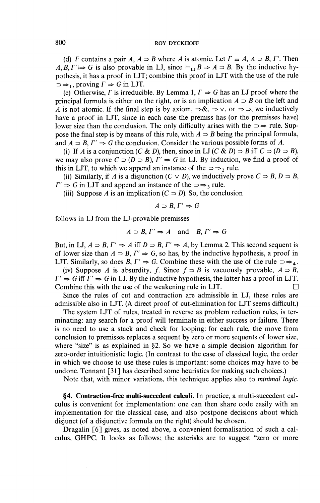(d) *F* contains a pair *A*,  $A \supset B$  where *A* is atomic. Let  $\Gamma \equiv A$ ,  $A \supset B$ ,  $\Gamma'$ . Then A, B,  $\Gamma' \Rightarrow G$  is also provable in LJ, since  $\vdash_{\mathsf{LJ}} B \Rightarrow A \supset B$ . By the inductive hypothesis, it has a proof in LJT; combine this proof in LJT with the use of the rule  $\Rightarrow$   $\Rightarrow$  1, proving  $\Gamma \Rightarrow G$  in LJT.

(e) Otherwise,  $\Gamma$  is irreducible. By Lemma 1,  $\Gamma \Rightarrow G$  has an LJ proof where the principal formula is either on the right, or is an implication  $A \supset B$  on the left and A is not atomic. If the final step is by axiom,  $\Rightarrow \&$ ,  $\Rightarrow \vee$ , or  $\Rightarrow \Rightarrow$ , we inductively have a proof in LJT, since in each case the premiss has (or the premisses have) lower size than the conclusion. The only difficulty arises with the  $\Rightarrow$  rule. Suppose the final step is by means of this rule, with  $A \supset B$  being the principal formula, and  $A \supset B$ ,  $\Gamma' \Rightarrow G$  the conclusion. Consider the various possible forms of A.

(i) If A is a conjunction (C & D), then, since in LJ (C & D)  $\supset B$  iff  $C \supset (D \supset B)$ , we may also prove  $C \supset (D \supset B)$ ,  $\Gamma' \Rightarrow G$  in LJ. By induction, we find a proof of this in LJT, to which we append an instance of the  $\Rightarrow \Rightarrow$ , rule.

(ii) Similarly, if A is a disjunction  $(C \vee D)$ , we inductively prove  $C \supset B$ ,  $D \supset B$ ,  $\Gamma' \Rightarrow G$  in LJT and append an instance of the  $\supset \Rightarrow$  rule.

(iii) Suppose A is an implication  $(C \supset D)$ . So, the conclusion

$$
A \supset B, \Gamma' \Rightarrow G
$$

follows in LJ from the LJ-provable premisses

$$
A \supset B
$$
,  $\Gamma' \Rightarrow A$  and  $B, \Gamma' \Rightarrow G$ 

But, in LJ,  $A \supset B$ ,  $\Gamma' \Rightarrow A$  iff  $D \supset B$ ,  $\Gamma' \Rightarrow A$ , by Lemma 2. This second sequent is of lower size than  $A \supset B$ ,  $\Gamma' \Rightarrow G$ , so has, by the inductive hypothesis, a proof in LJT. Similarly, so does B,  $\Gamma' \Rightarrow G$ . Combine these with the use of the rule  $\Rightarrow \Rightarrow_4$ .

(iv) Suppose A is absurdity, f. Since  $f \supset B$  is vacuously provable,  $A \supset B$ ,  $\Gamma' \Rightarrow G$  iff  $\Gamma' \Rightarrow G$  in LJ. By the inductive hypothesis, the latter has a proof in LJT. Combine this with the use of the weakening rule in LJT. □

Since the rules of cut and contraction are admissible in LJ, these rules are admissible also in LJT. (A direct proof of cut-elimination for LJT seems difficult.)

The system LJT of rules, treated in reverse as problem reduction rules, is terminating: any search for a proof will terminate in either success or failure. There is no need to use a stack and check for looping: for each rule, the move from conclusion to premisses replaces a sequent by zero or more sequents of lower size, where "size" is as explained in  $\S$ 2. So we have a simple decision algorithm for zero-order intuitionistic logic. (In contrast to the case of classical logic, the order in which we choose to use these rules is important: some choices may have to be undone. Tennant [31] has described some heuristics for making such choices.)

Note that, with minor variations, this technique applies also to *minimal logic*.

§4. Contraction-free multi-succedent calculi. In practice, a multi-succedent calculus is convenient for implementation: one can then share code easily with an implementation for the classical case, and also postpone decisions about which disjunct (of a disjunctive formula on the right) should be chosen.

Dragalin [6] gives, as noted above, a convenient formalisation of such a calculus, GHPC. It looks as follows; the asterisks are to suggest "zero or more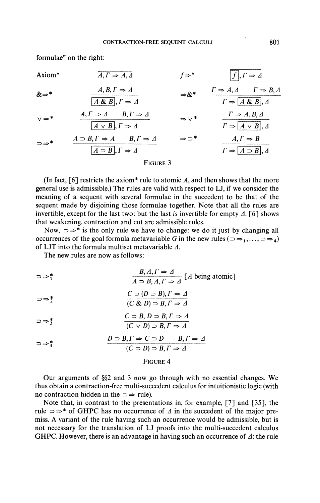formulae" on the right:

Axiom\*  
\n
$$
A, \Gamma \Rightarrow A, \Delta
$$
  
\n $A, B, \Gamma \Rightarrow \Delta$   
\n $A, B, \Gamma \Rightarrow \Delta$   
\n $\Rightarrow \&$   
\n $\frac{1}{A \& B}, \Gamma \Rightarrow \Delta$   
\n $\Rightarrow \&$   
\n $\frac{1}{A \& B}, \Gamma \Rightarrow \Delta$   
\n $\Rightarrow \&$   
\n $\frac{1}{A \& B}, \Gamma \Rightarrow \Delta$   
\n $\Rightarrow \vee$   
\n $\frac{1}{A \lor B}, \Gamma \Rightarrow \Delta$   
\n $\Rightarrow \vee$   
\n $\frac{1}{A \lor B}, \Gamma \Rightarrow \Delta$   
\n $\Rightarrow \vee$   
\n $\frac{1}{A \lor B}, \Delta$   
\n $\Rightarrow \vee$   
\n $\frac{1}{A \lor B}, \Delta$   
\n $\Rightarrow \Rightarrow$   
\n $\frac{1}{A \lor B}, \Delta$   
\n $\Rightarrow \Rightarrow$   
\n $\frac{1}{A \lor B}, \Delta$   
\n $\Rightarrow \Rightarrow$   
\n $\frac{1}{A \lor B}, \Delta$   
\n $\Rightarrow \Rightarrow$   
\n $\frac{1}{A \lor B}, \Delta$   
\n $\Rightarrow \Rightarrow$   
\n $\frac{1}{A \lor B}, \Delta$   
\n $\Rightarrow \Rightarrow$   
\n $\frac{1}{A \lor B}, \Delta$   
\n $\Rightarrow \Rightarrow$   
\n $\frac{1}{A \lor B}, \Delta$   
\n $\Rightarrow \Rightarrow$   
\n $\frac{1}{A \lor B}, \Delta$   
\n $\frac{1}{A \lor B}, \Delta$   
\n $\frac{1}{A \lor B}, \Delta$   
\n $\frac{1}{A \lor B}, \Delta$   
\n $\frac{1}{A \lor B}, \Delta$   
\n $\frac{1}{A \lor B}, \Delta$   
\n $\frac{1}{A \lor B}, \Delta$ 

(In fact,  $\lceil 6 \rceil$  restricts the axiom\* rule to atomic A, and then shows that the more general use is admissible.) The rules are valid with respect to LJ, if we consider the meaning of a sequent with several formulae in the succedent to be that of the sequent made by disjoining those formulae together. Note that all the rules are invertible, except for the last two: but the last is invertible for empty  $\Delta$ . [6] shows that weakening, contraction and cut are admissible rules.

Now,  $\Rightarrow^*$  is the only rule we have to change: we do it just by changing all occurrences of the goal formula metavariable G in the new rules ( $\Rightarrow$   $\Rightarrow$  1,...,  $\Rightarrow$   $\Rightarrow$  4) of LJT into the formula multiset metavariable  $\Delta$ .

The new rules are now as follows:

$$
\Rightarrow_{1}^{*} \qquad \qquad \frac{B, A, \Gamma \Rightarrow \Delta}{A \supset B, A, \Gamma \Rightarrow \Delta} \text{ [ } A \text{ being atomic]}
$$

 $C \supset (D \supset B), \Gamma \Rightarrow \Delta$ <br>(C & D)  $\supset B, \Gamma \Rightarrow \Delta$  $\Rightarrow$ 

$$
\Rightarrow^*_{3} \qquad \qquad \frac{C \supset B, D \supset B, \Gamma \Rightarrow \Delta}{(C \vee D) \supset B, \Gamma \Rightarrow \Delta}
$$

$$
\Rightarrow^*_{4} \qquad D \Rightarrow B, \Gamma \Rightarrow C \Rightarrow D \qquad B, \Gamma \Rightarrow \Delta
$$
  

$$
(C \Rightarrow D) \Rightarrow B, \Gamma \Rightarrow \Delta
$$

## FIGURE 4

Our arguments of §§2 and 3 now go through with no essential changes. We thus obtain a contraction-free multi-succedent calculus for intuitionistic logic (with no contraction hidden in the  $\Rightarrow$  rule).

Note that, in contrast to the presentations in, for example, [7] and [35], the rule  $\Rightarrow^*$  of GHPC has no occurrence of  $\Delta$  in the succedent of the major premiss. A variant of the rule having such an occurrence would be admissible, but is not necessary for the translation of LJ proofs into the multi-succedent calculus GHPC. However, there is an advantage in having such an occurrence of  $\Delta$ : the rule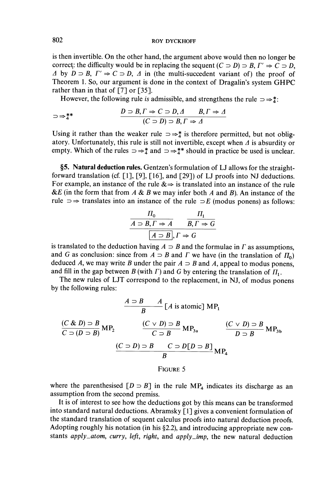is then invertible. On the other hand, the argument above would then no longer be correct: the difficulty would be in replacing the sequent  $(C \supset D) \supset B$ ,  $\Gamma' \Rightarrow C \supset D$ ,  $\Delta$  by  $D \supset B$ ,  $\Gamma' \Rightarrow C \supset D$ ,  $\Delta$  in (the multi-succedent variant of) the proof of Theorem 1. So, our argument is done in the context of Dragalin's system GHPC rather than in that of  $[7]$  or  $[35]$ .

However, the following rule is admissible, and strengthens the rule  $\Rightarrow \frac{*}{4}$ :

$$
\Rightarrow_{4}^{***} \qquad D \supset B, \Gamma \Rightarrow C \supset D, \Delta \qquad B, \Gamma \Rightarrow \Delta
$$

$$
(C \supset D) \supset B, \Gamma \Rightarrow \Delta
$$

Using it rather than the weaker rule  $\Rightarrow \frac{1}{4}$  is therefore permitted, but not obligatory. Unfortunately, this rule is still not invertible, except when  $\Delta$  is absurdity or empty. Which of the rules  $\Rightarrow^*_{4}$  and  $\Rightarrow^*_{4}$  should in practice be used is unclear.

§5. Natural deduction rules. Gentzen's formulation of LJ allows for the straightforward translation (cf.  $\lceil 1 \rceil$ ,  $\lceil 9 \rceil$ ,  $\lceil 16 \rceil$ , and  $\lceil 29 \rceil$ ) of LJ proofs into NJ deductions. For example, an instance of the rule  $\&\Rightarrow$  is translated into an instance of the rule &E (in the form that from  $A \& B$  we may infer both  $A$  and  $B$ ). An instance of the rule  $\Rightarrow$  translates into an instance of the rule  $\Rightarrow$  E (modus ponens) as follows:

$$
\frac{\Pi_0}{A \supset B, \Gamma \Rightarrow A} \qquad \frac{\Pi_1}{B, \Gamma \Rightarrow G}
$$
\n
$$
\boxed{A \supset B}, \Gamma \Rightarrow G
$$

is translated to the deduction having  $A \supset B$  and the formulae in  $\Gamma$  as assumptions, and G as conclusion: since from  $A \supset B$  and  $\Gamma$  we have (in the translation of  $\Pi_0$ ) deduced A, we may write B under the pair  $A \supset B$  and A, appeal to modus ponens, and fill in the gap between B (with  $\Gamma$ ) and G by entering the translation of  $\Pi_1$ .

The new rules of LJT correspond to the replacement, in NJ, of modus ponens by the following rules:

$$
\frac{A \supset B \qquad A}{B} [A \text{ is atomic}] \text{ MP}_1
$$
  
\n
$$
\frac{(C \& D) \supset B}{C \supset (D \supset B)} \text{ MP}_2 \qquad \frac{(C \lor D) \supset B}{C \supset B} \text{ MP}_{3a} \qquad \frac{(C \lor D) \supset B}{D \supset B} \text{ MP}_{3b}
$$
  
\n
$$
\frac{(C \supset D) \supset B \qquad C \supset D[D \supset B]}{B} \text{ MP}_4
$$
  
\nFIGURE 5

where the parenthesised  $[D \supset B]$  in the rule MP<sub>4</sub> indicates its discharge as an assumption from the second premiss.

It is of interest to see how the deductions got by this means can be transformed into standard natural deductions. Abramsky [1] gives a convenient formulation of the standard translation of sequent calculus proofs into natural deduction proofs. Adopting roughly his notation (in his §2.2), and introducing appropriate new constants apply\_atom, curry, left, right, and apply\_imp, the new natural deduction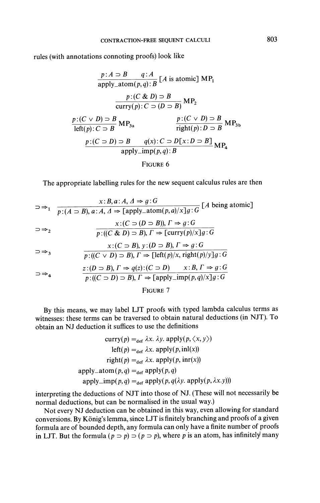rules (with annotations connoting proofs) look like

$$
\frac{p:A \supset B \qquad q:A}{\text{apply\_atom}(p,q):B} [A \text{ is atomic}] \text{ MP}_1
$$
\n
$$
\frac{p:(C \& D) \supset B}{\text{curry}(p):C \supset (D \supset B)} \text{ MP}_2
$$
\n
$$
\frac{p:(C \lor D) \supset B}{\text{left}(p):C \supset B} \text{ MP}_{3a} \qquad \frac{p:(C \lor D) \supset B}{\text{right}(p):D \supset B} \text{ MP}_{3b}
$$
\n
$$
\frac{p:(C \supset D) \supset B}{\text{right}(p):D \supset B} \text{ MP}_3
$$
\n
$$
\frac{p:(C \supset D) \supset B}{\text{apply\_imp}(p,q):B} \text{ MP}_4
$$
\n
$$
\text{FIGURE 6}
$$

The appropriate labelling rules for the new sequent calculus rules are then

$$
\Rightarrow_{1} \frac{x:B, a:A, A \Rightarrow g:G}{p:(A \supset B), a:A, A \Rightarrow [apply\_atom(p, a)/x]g:G} [A being atomic]
$$
\n
$$
\Rightarrow_{2} \frac{x:(C \supset (D \supset B)), \Gamma \Rightarrow g:G}{p:((C \& D) \supset B), \Gamma \Rightarrow [curry(p)/x]g:G}
$$
\n
$$
\Rightarrow_{3} \frac{x:(C \supset B), y:(D \supset B), \Gamma \Rightarrow g:G}{p:((C \vee D) \supset B), \Gamma \Rightarrow [left(p)/x, right(p)/y]g:G}
$$
\n
$$
\Rightarrow_{4} \frac{z:(D \supset B), \Gamma \Rightarrow q(z):(C \supset D) \qquad x:B, \Gamma \Rightarrow g:G}{p:((C \supset D) \supset B), \Gamma \Rightarrow [apply\_imp(p, q)/x]g:G}
$$

FIGURE 7

By this means, we may label LJT proofs with typed lambda calculus terms as witnesses: these terms can be traversed to obtain natural deductions (in NJT). To obtain an NJ deduction it suffices to use the definitions

 $\sim$ 

$$
curry(p) =_{def} \lambda x. \lambda y. apply(p, \langle x, y \rangle)
$$
  
left(p) =\_{def} \lambda x. apply(p, inl(x))  
right(p) =\_{def} \lambda x. apply(p, inr(x))  
apply\_atom(p,q) =\_{def} apply(p,q)  
apply\_imp(p,q) =\_{def} apply(p,q(\lambda y. apply(p, \lambda x.y)))

interpreting the deductions of NJT into those of NJ. (These will not necessarily be normal deductions, but can be normalised in the usual way.)

Not every NJ deduction can be obtained in this way, even allowing for standard conversions. By König's lemma, since LJT is finitely branching and proofs of a given formula are of bounded depth, any formula can only have a finite number of proofs in LJT. But the formula  $(p \supset p)$   $\supset (p \supset p)$ , where p is an atom, has infinitely many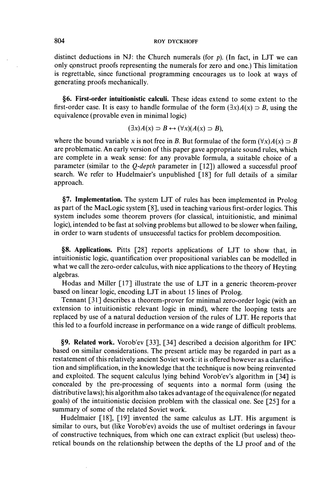#### **ROY DYCKHOFF**

distinct deductions in NJ: the Church numerals (for  $p$ ). (In fact, in LJT we can only construct proofs representing the numerals for zero and one.) This limitation is regrettable, since functional programming encourages us to look at ways of generating proofs mechanically.

§6. First-order intuitionistic calculi. These ideas extend to some extent to the first-order case. It is easy to handle formulae of the form  $(\exists x)A(x)$   $\supset B$ , using the equivalence (provable even in minimal logic)

$$
(\exists x) A(x) \supset B \leftrightarrow (\forall x) (A(x) \supset B),
$$

where the bound variable x is not free in B. But formulae of the form  $(\forall x)A(x) \supset B$ are problematic. An early version of this paper gave appropriate sound rules, which are complete in a weak sense: for any provable formula, a suitable choice of a parameter (similar to the *Q-depth* parameter in [12]) allowed a successful proof search. We refer to Hudelmaier's unpublished [18] for full details of a similar approach.

§7. Implementation. The system LJT of rules has been implemented in Prolog as part of the MacLogic system [8], used in teaching various first-order logics. This system includes some theorem provers (for classical, intuitionistic, and minimal logic), intended to be fast at solving problems but allowed to be slower when failing, in order to warn students of unsuccessful tactics for problem decomposition.

§8. Applications. Pitts [28] reports applications of LJT to show that, in intuitionistic logic, quantification over propositional variables can be modelled in what we call the zero-order calculus, with nice applications to the theory of Heyting algebras.

Hodas and Miller [17] illustrate the use of LJT in a generic theorem-prover based on linear logic, encoding LJT in about 15 lines of Prolog.

Tennant [31] describes a theorem-prover for minimal zero-order logic (with an extension to intuitionistic relevant logic in mind), where the looping tests are replaced by use of a natural deduction version of the rules of LJT. He reports that this led to a fourfold increase in performance on a wide range of difficult problems.

§9. Related work. Vorob'ev [33], [34] described a decision algorithm for IPC based on similar considerations. The present article may be regarded in part as a restatement of this relatively ancient Soviet work: it is offered however as a clarification and simplification, in the knowledge that the technique is now being reinvented and exploited. The sequent calculus lying behind Vorob'ev's algorithm in [34] is concealed by the pre-processing of sequents into a normal form (using the distributive laws); his algorithm also takes advantage of the equivalence (for negated goals) of the intuitionistic decision problem with the classical one. See [25] for a summary of some of the related Soviet work.

Hudelmaier [18], [19] invented the same calculus as LJT. His argument is similar to ours, but (like Vorob'ev) avoids the use of multiset orderings in favour of constructive techniques, from which one can extract explicit (but useless) theoretical bounds on the relationship between the depths of the LJ proof and of the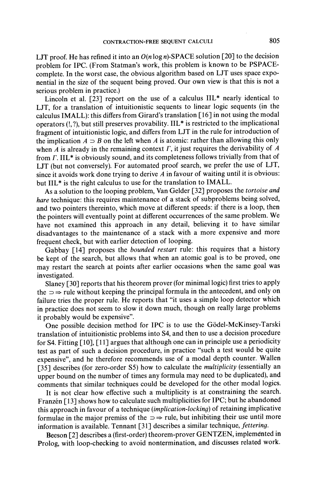LJT proof. He has refined it into an  $O(n \log n)$ -SPACE solution [20] to the decision problem for IPC. (From Statman's work, this problem is known to be PSPACEcomplete. In the worst case, the obvious algorithm based on LJT uses space exponential in the size of the sequent being proved. Our own view is that this is not a serious problem in practice.)

Lincoln et al. [23] report on the use of a calculus IIL\* nearly identical to LJT, for a translation of intuitionistic sequents to linear logic sequents (in the calculus IMALL): this differs from Girard's translation [16] in not using the modal operators (!, ?), but still preserves provability. IIL\* is restricted to the implicational fragment of intuitionistic logic, and differs from LJT in the rule for introduction of the implication  $A \supset B$  on the left when A is atomic: rather than allowing this only when  $A$  is already in the remaining context  $\Gamma$ , it just requires the derivability of  $A$ from  $\Gamma$ . IIL<sup>\*</sup> is obviously sound, and its completeness follows trivially from that of LJT (but not conversely). For automated proof search, we prefer the use of LJT, since it avoids work done trying to derive  $A$  in favour of waiting until it is obvious: but IIL<sup>\*</sup> is the right calculus to use for the translation to IMALL.

As a solution to the looping problem, Van Gelder [32] proposes the tortoise and hare technique: this requires maintenance of a stack of subproblems being solved, and two pointers thereinto, which move at different speeds: if there is a loop, then the pointers will eventually point at different occurrences of the same problem. We have not examined this approach in any detail, believing it to have similar disadvantages to the maintenance of a stack with a more expensive and more frequent check, but with earlier detection of looping.

Gabbay [14] proposes the bounded restart rule: this requires that a history be kept of the search, but allows that when an atomic goal is to be proved, one may restart the search at points after earlier occasions when the same goal was investigated.

Slaney [30] reports that his theorem prover (for minimal logic) first tries to apply the  $\Rightarrow$  rule without keeping the principal formula in the antecedent, and only on failure tries the proper rule. He reports that "it uses a simple loop detector which in practice does not seem to slow it down much, though on really large problems it probably would be expensive".

One possible decision method for IPC is to use the Gödel-McKinsey-Tarski translation of intuitionistic problems into S4, and then to use a decision procedure for S4. Fitting [10], [11] argues that although one can in principle use a periodicity test as part of such a decision procedure, in practice "such a test would be quite expensive", and he therefore recommends use of a modal depth counter. Wallen [35] describes (for zero-order S5) how to calculate the *multiplicity* (essentially an upper bound on the number of times any formula may need to be duplicated), and comments that similar techniques could be developed for the other modal logics.

It is not clear how effective such a multiplicity is at constraining the search. Franzén [13] shows how to calculate such multiplicities for IPC; but he abandoned this approach in favour of a technique (implication-locking) of retaining implicative formulae in the major premiss of the  $\Rightarrow$  rule, but inhibiting their use until more information is available. Tennant [31] describes a similar technique, fettering.

Beeson [2] describes a (first-order) theorem-prover GENTZEN, implemented in Prolog, with loop-checking to avoid nontermination, and discusses related work.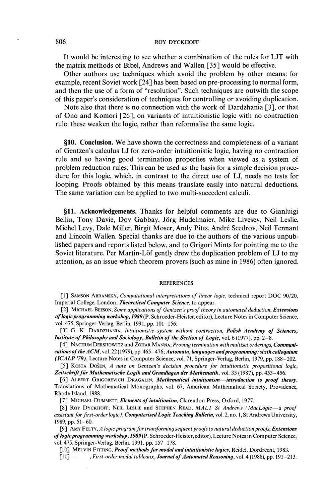### **ROY DYCKHOFF**

It would be interesting to see whether a combination of the rules for LJT with the matrix methods of Bibel, Andrews and Wallen [35] would be effective.

Other authors use techniques which avoid the problem by other means: for example, recent Soviet work [24] has been based on pre-processing to normal form, and then the use of a form of "resolution". Such techniques are outwith the scope of this paper's consideration of techniques for controlling or avoiding duplication.

Note also that there is no connection with the work of Dardzhania [3], or that of Ono and Komori [26], on variants of intuitionistic logic with no contraction rule: these weaken the logic, rather than reformalise the same logic.

§10. Conclusion. We have shown the correctness and completeness of a variant of Gentzen's calculus LJ for zero-order intuitionistic logic, having no contraction rule and so having good termination properties when viewed as a system of problem reduction rules. This can be used as the basis for a simple decision procedure for this logic, which, in contrast to the direct use of LJ, needs no tests for looping. Proofs obtained by this means translate easily into natural deductions. The same variation can be applied to two multi-succedent calculi.

§11. Acknowledgements. Thanks for helpful comments are due to Gianluigi Bellin, Tony Davie, Dov Gabbay, Jörg Hudelmaier, Mike Livesey, Neil Leslie, Michel Levy, Dale Miller, Birgit Moser, Andy Pitts, André Scedrov, Neil Tennant and Lincoln Wallen. Special thanks are due to the authors of the various unpublished papers and reports listed below, and to Grigori Mints for pointing me to the Soviet literature. Per Martin-Löf gently drew the duplication problem of LJ to my attention, as an issue which theorem provers (such as mine in 1986) often ignored.

#### **REFERENCES**

[1] SAMSON ABRAMSKY, Computational interpretations of linear logic, technical report DOC 90/20, Imperial College, London; Theoretical Computer Science, to appear.

[2] MICHAEL BEESON, Some applications of Gentzen's proof theory in automated deduction, Extensions of logic programming workshop, 1989 (P. Schroeder-Heister, editor), Lecture Notes in Computer Science, vol. 475, Springer-Verlag, Berlin, 1991, pp. 101–156.

[3] G. K. DARDZHANIA, Intuitionistic system without contraction, Polish Academy of Sciences, Institute of Philosophy and Sociology, Bulletin of the Section of Logic, vol. 6 (1977), pp. 2-8.

[4] NACHUM DERSHOWITZ and ZOHAR MANNA, Proving termination with multiset orderings, Communications of the ACM, vol. 22 (1979), pp. 465-476; Automata, languages and programming: sixth colloquium (ICALP '79), Lecture Notes in Computer Science, vol. 71, Springer-Verlag, Berlin, 1979, pp. 188–202.

[5] KOSTA DOŠEN, A note on Gentzen's decision procedure for intuitionistic propositional logic, Zeitschrift für Mathematische Logik und Grundlagen der Mathematik, vol. 33 (1987), pp. 453-456.

[6] ALBERT GRIGOREVICH DRAGALIN, Mathematical intuitionism-introduction to proof theory, Translations of Mathematical Monographs, vol. 67, American Mathematical Society, Providence, Rhode Island, 1988.

[7] MICHAEL DUMMETT, Elements of intuitionism, Clarendon Press, Oxford, 1977.

[8] ROY DYCKHOFF, NEIL LESLIE and STEPHEN READ, MALT St Andrews (MacLogic-a proof assistant for first-order logic), Computerised Logic Teaching Bulletin, vol. 2, no. 1, St Andrews University, 1989, pp. 51-60.

[9] AMY FELTY, A logic program for transforming sequent proofs to natural deduction proofs, Extensions of logic programming workshop, 1989 (P. Schroeder-Heister, editor), Lecture Notes in Computer Science, vol. 475, Springer-Verlag, Berlin, 1991, pp. 157-178.

[10] MELVIN FITTING, Proof methods for modal and intuitionistic logics, Reidel, Dordrecht, 1983.

[11] - First-order modal tableaux, Journal of Automated Reasoning, vol. 4 (1988), pp. 191-213.